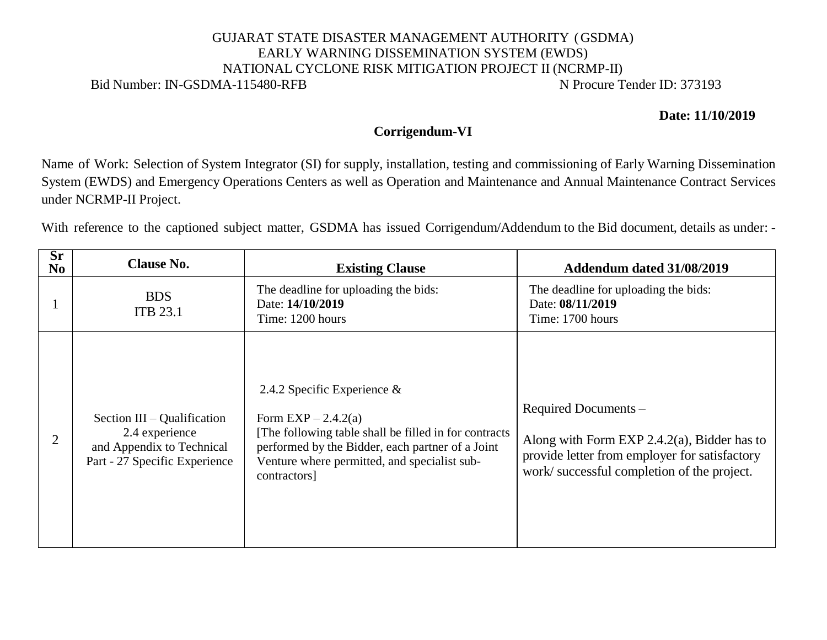## GUJARAT STATE DISASTER MANAGEMENT AUTHORITY (GSDMA) EARLY WARNING DISSEMINATION SYSTEM (EWDS) NATIONAL CYCLONE RISK MITIGATION PROJECT II (NCRMP-II) Bid Number: IN-GSDMA-115480-RFB N Procure Tender ID: 373193

**Date: 11/10/2019**

## **Corrigendum-VI**

Name of Work: Selection of System Integrator (SI) for supply, installation, testing and commissioning of Early Warning Dissemination System (EWDS) and Emergency Operations Centers as well as Operation and Maintenance and Annual Maintenance Contract Services under NCRMP-II Project.

With reference to the captioned subject matter, GSDMA has issued Corrigendum/Addendum to the Bid document, details as under: -

| $S_{r}$<br>No. | <b>Clause No.</b>                                                                                             | <b>Existing Clause</b>                                                                                                                                                                                                              | Addendum dated 31/08/2019                                                                                                                                          |
|----------------|---------------------------------------------------------------------------------------------------------------|-------------------------------------------------------------------------------------------------------------------------------------------------------------------------------------------------------------------------------------|--------------------------------------------------------------------------------------------------------------------------------------------------------------------|
|                | <b>BDS</b><br><b>ITB 23.1</b>                                                                                 | The deadline for uploading the bids:<br>Date: 14/10/2019<br>Time: 1200 hours                                                                                                                                                        | The deadline for uploading the bids:<br>Date: 08/11/2019<br>Time: 1700 hours                                                                                       |
|                | Section $III - Qualification$<br>2.4 experience<br>and Appendix to Technical<br>Part - 27 Specific Experience | 2.4.2 Specific Experience $\&$<br>Form $EXP-2.4.2(a)$<br>[The following table shall be filled in for contracts]<br>performed by the Bidder, each partner of a Joint<br>Venture where permitted, and specialist sub-<br>contractors] | Required Documents -<br>Along with Form EXP 2.4.2(a), Bidder has to<br>provide letter from employer for satisfactory<br>work/successful completion of the project. |